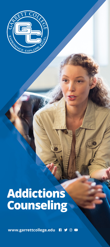

# **Addictions<br>Counseling**

www.garrettcollege.edu **RYOD**